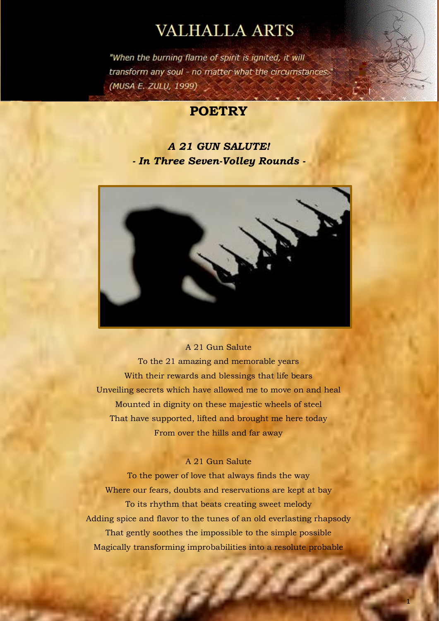# **VALHALLA ARTS**

"When the burning flame of spirit is ignited, it will transform any soul - no matter what the circumstances." (MUSA E. ZULU, 1999)

# **POETRY**

# *A 21 GUN SALUTE! - In Three Seven-Volley Rounds -*



#### A 21 Gun Salute

To the 21 amazing and memorable years With their rewards and blessings that life bears Unveiling secrets which have allowed me to move on and heal Mounted in dignity on these majestic wheels of steel That have supported, lifted and brought me here today From over the hills and far away

#### A 21 Gun Salute

To the power of love that always finds the way Where our fears, doubts and reservations are kept at bay To its rhythm that beats creating sweet melody Adding spice and flavor to the tunes of an old everlasting rhapsody That gently soothes the impossible to the simple possible Magically transforming improbabilities into a resolute probable

82

1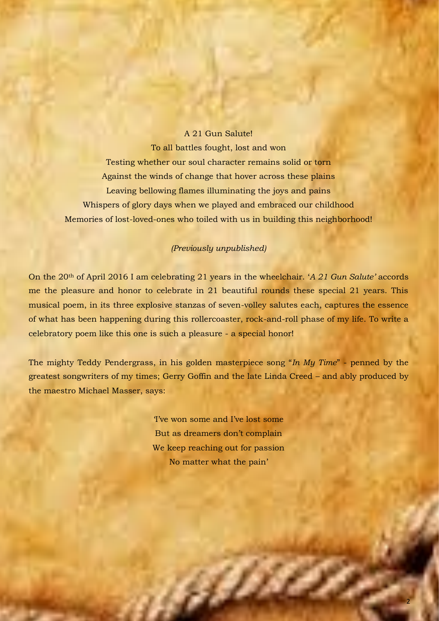#### A 21 Gun Salute!

To all battles fought, lost and won Testing whether our soul character remains solid or torn Against the winds of change that hover across these plains Leaving bellowing flames illuminating the joys and pains Whispers of glory days when we played and embraced our childhood Memories of lost-loved-ones who toiled with us in building this neighborhood!

#### *(Previously unpublished)*

On the 20th of April 2016 I am celebrating 21 years in the wheelchair. '*A 21 Gun Salute'* accords me the pleasure and honor to celebrate in 21 beautiful rounds these special 21 years. This musical poem, in its three explosive stanzas of seven-volley salutes each, captures the essence of what has been happening during this rollercoaster, rock-and-roll phase of my life. To write a celebratory poem like this one is such a pleasure - a special honor!

The mighty Teddy Pendergrass, in his golden masterpiece song "*In My Time*" - penned by the greatest songwriters of my times; Gerry Goffin and the late Linda Creed – and ably produced by the maestro Michael Masser, says:

> 'I've won some and I've lost some But as dreamers don't complain We keep reaching out for passion No matter what the pain'

> > g Chin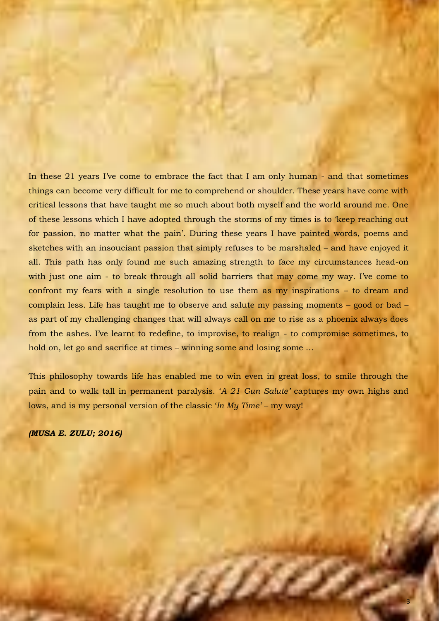In these 21 years I've come to embrace the fact that I am only human - and that sometimes things can become very difficult for me to comprehend or shoulder. These years have come with critical lessons that have taught me so much about both myself and the world around me. One of these lessons which I have adopted through the storms of my times is to 'keep reaching out for passion, no matter what the pain'. During these years I have painted words, poems and sketches with an insouciant passion that simply refuses to be marshaled – and have enjoyed it all. This path has only found me such amazing strength to face my circumstances head-on with just one aim - to break through all solid barriers that may come my way. I've come to confront my fears with a single resolution to use them as my inspirations – to dream and complain less. Life has taught me to observe and salute my passing moments – good or bad – as part of my challenging changes that will always call on me to rise as a phoenix always does from the ashes. I've learnt to redefine, to improvise, to realign - to compromise sometimes, to hold on, let go and sacrifice at times – winning some and losing some ...

This philosophy towards life has enabled me to win even in great loss, to smile through the pain and to walk tall in permanent paralysis. '*A 21 Gun Salute'* captures my own highs and lows, and is my personal version of the classic '*In My Time'* – my way!

g Ort

*(MUSA E. ZULU; 2016)*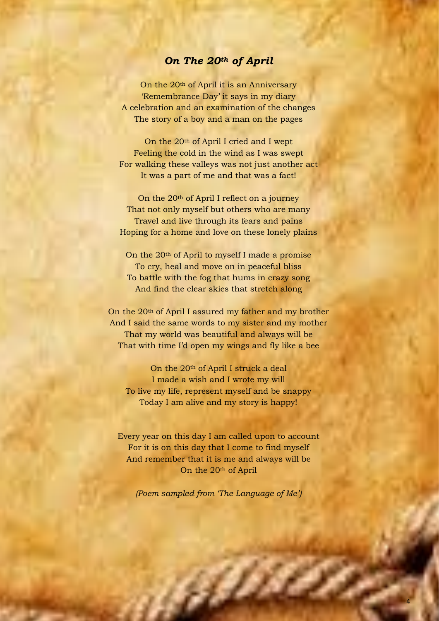### *On The 20th of April*

On the 20th of April it is an Anniversary 'Remembrance Day' it says in my diary A celebration and an examination of the changes The story of a boy and a man on the pages

On the 20th of April I cried and I wept Feeling the cold in the wind as I was swept For walking these valleys was not just another act It was a part of me and that was a fact!

On the 20th of April I reflect on a journey That not only myself but others who are many Travel and live through its fears and pains Hoping for a home and love on these lonely plains

On the 20th of April to myself I made a promise To cry, heal and move on in peaceful bliss To battle with the fog that hums in crazy song And find the clear skies that stretch along

On the 20th of April I assured my father and my brother And I said the same words to my sister and my mother That my world was beautiful and always will be That with time I'd open my wings and fly like a bee

On the 20<sup>th</sup> of April I struck a deal I made a wish and I wrote my will To live my life, represent myself and be snappy Today I am alive and my story is happy!

Every year on this day I am called upon to account For it is on this day that I come to find myself And remember that it is me and always will be On the 20th of April

*(Poem sampled from 'The Language of Me')*

4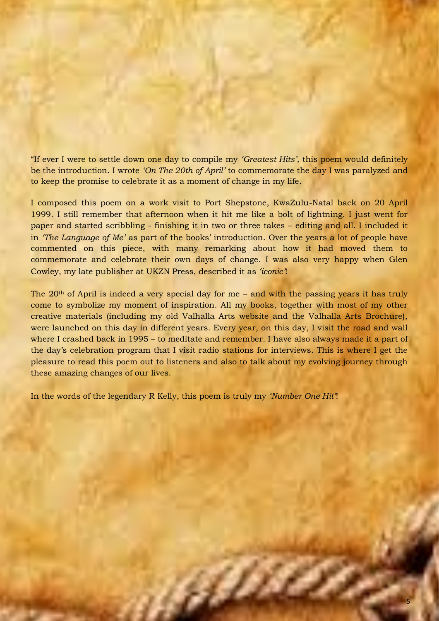"If ever I were to settle down one day to compile my *'Greatest Hits',* this poem would definitely be the introduction. I wrote *'On The 20th of April'* to commemorate the day I was paralyzed and to keep the promise to celebrate it as a moment of change in my life.

I composed this poem on a work visit to Port Shepstone, KwaZulu-Natal back on 20 April 1999. I still remember that afternoon when it hit me like a bolt of lightning. I just went for paper and started scribbling - finishing it in two or three takes – editing and all. I included it in *'The Language of Me'* as part of the books' introduction. Over the years a lot of people have commented on this piece, with many remarking about how it had moved them to commemorate and celebrate their own days of change. I was also very happy when Glen Cowley, my late publisher at UKZN Press, described it as *'iconic'*!

The  $20<sup>th</sup>$  of April is indeed a very special day for me – and with the passing years it has truly come to symbolize my moment of inspiration. All my books, together with most of my other creative materials (including my old Valhalla Arts website and the Valhalla Arts Brochure), were launched on this day in different years. Every year, on this day, I visit the road and wall where I crashed back in 1995 – to meditate and remember. I have also always made it a part of the day's celebration program that I visit radio stations for interviews. This is where I get the pleasure to read this poem out to listeners and also to talk about my evolving journey through these amazing changes of our lives.

In the words of the legendary R Kelly, this poem is truly my *'Number One Hit'*!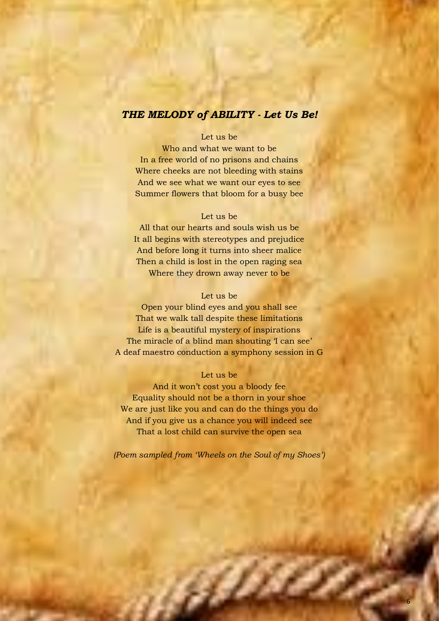### *THE MELODY of ABILITY - Let Us Be!*

#### Let us be

Who and what we want to be In a free world of no prisons and chains Where cheeks are not bleeding with stains And we see what we want our eyes to see Summer flowers that bloom for a busy bee

#### Let us be

All that our hearts and souls wish us be It all begins with stereotypes and prejudice And before long it turns into sheer malice Then a child is lost in the open raging sea Where they drown away never to be

#### Let us be

Open your blind eyes and you shall see That we walk tall despite these limitations Life is a beautiful mystery of inspirations The miracle of a blind man shouting 'I can see' A deaf maestro conduction a symphony session in G

#### Let us be

And it won't cost you a bloody fee Equality should not be a thorn in your shoe We are just like you and can do the things you do And if you give us a chance you will indeed see That a lost child can survive the open sea

*(Poem sampled from 'Wheels on the Soul of my Shoes')* 

, et d'a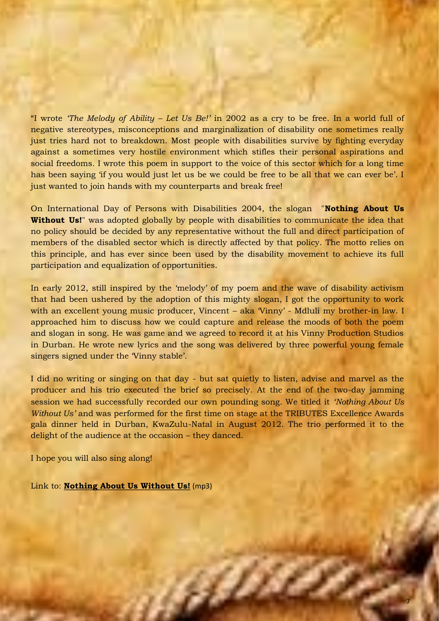"I wrote *'The Melody of Ability – Let Us Be!'* in 2002 as a cry to be free. In a world full of negative stereotypes, misconceptions and marginalization of disability one sometimes really just tries hard not to breakdown. Most people with disabilities survive by fighting everyday against a sometimes very hostile environment which stifles their personal aspirations and social freedoms. I wrote this poem in support to the voice of this sector which for a long time has been saying 'if you would just let us be we could be free to be all that we can ever be'. I just wanted to join hands with my counterparts and break free!

On International Day of Persons with Disabilities 2004, the slogan "**Nothing About Us Without Us!**" was adopted globally by people with disabilities to communicate the idea that no policy should be decided by any representative without the full and direct participation of members of the disabled sector which is directly affected by that policy. The motto relies on this principle, and has ever since been used by the disability movement to achieve its full participation and equalization of opportunities.

In early 2012, still inspired by the 'melody' of my poem and the wave of disability activism that had been ushered by the adoption of this mighty slogan, I got the opportunity to work with an excellent young music producer, Vincent – aka 'Vinny' - Mdluli my brother-in law. I approached him to discuss how we could capture and release the moods of both the poem and slogan in song. He was game and we agreed to record it at his Vinny Production Studios in Durban. He wrote new lyrics and the song was delivered by three powerful young female singers signed under the Vinny stable'.

I did no writing or singing on that day - but sat quietly to listen, advise and marvel as the producer and his trio executed the brief so precisely. At the end of the two-day jamming session we had successfully recorded our own pounding song. We titled it *'Nothing About Us Without Us'* and was performed for the first time on stage at the TRIBUTES Excellence Awards gala dinner held in Durban, KwaZulu-Natal in August 2012. The trio performed it to the delight of the audience at the occasion – they danced.

**SAM** 

I hope you will also sing along!

Link to: **[Nothing About Us Without Us!](http://valhallaarts.co.za/Nothing%20About%20Us%20Without%20Us.mp3)** (mp3)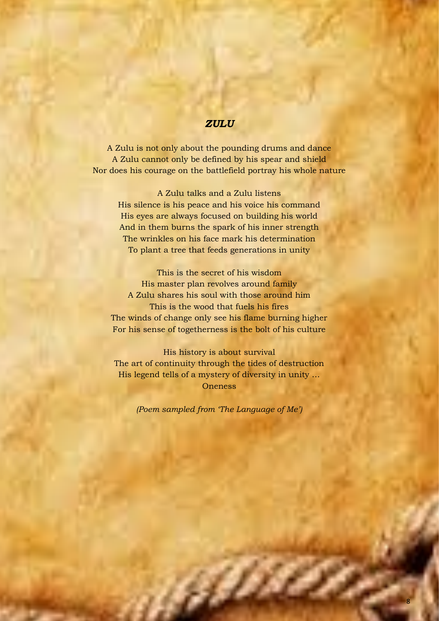#### *ZULU*

A Zulu is not only about the pounding drums and dance A Zulu cannot only be defined by his spear and shield Nor does his courage on the battlefield portray his whole nature

A Zulu talks and a Zulu listens His silence is his peace and his voice his command His eyes are always focused on building his world And in them burns the spark of his inner strength The wrinkles on his face mark his determination To plant a tree that feeds generations in unity

This is the secret of his wisdom His master plan revolves around family A Zulu shares his soul with those around him This is the wood that fuels his fires The winds of change only see his flame burning higher For his sense of togetherness is the bolt of his culture

His history is about survival The art of continuity through the tides of destruction His legend tells of a mystery of diversity in unity … **Oneness** 

*(Poem sampled from 'The Language of Me')*

, ji film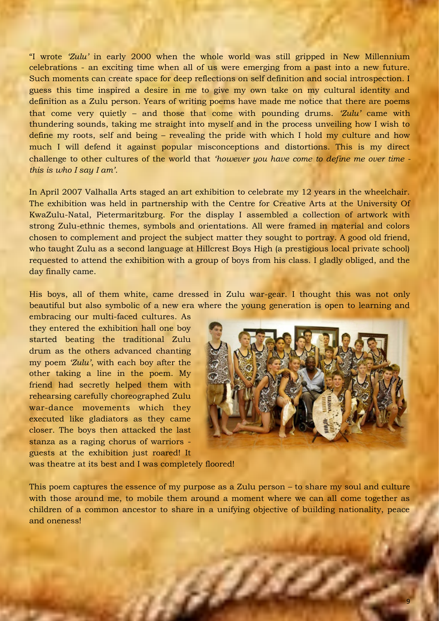"I wrote *'Zulu'* in early 2000 when the whole world was still gripped in New Millennium celebrations - an exciting time when all of us were emerging from a past into a new future. Such moments can create space for deep reflections on self definition and social introspection. I guess this time inspired a desire in me to give my own take on my cultural identity and definition as a Zulu person. Years of writing poems have made me notice that there are poems that come very quietly – and those that come with pounding drums. *'Zulu'* came with thundering sounds, taking me straight into myself and in the process unveiling how I wish to define my roots, self and being – revealing the pride with which I hold my culture and how much I will defend it against popular misconceptions and distortions. This is my direct challenge to other cultures of the world that *'however you have come to define me over time this is who I say I am'*.

In April 2007 Valhalla Arts staged an art exhibition to celebrate my 12 years in the wheelchair. The exhibition was held in partnership with the Centre for Creative Arts at the University Of KwaZulu-Natal, Pietermaritzburg. For the display I assembled a collection of artwork with strong Zulu-ethnic themes, symbols and orientations. All were framed in material and colors chosen to complement and project the subject matter they sought to portray. A good old friend, who taught Zulu as a second language at Hillcrest Boys High (a prestigious local private school) requested to attend the exhibition with a group of boys from his class. I gladly obliged, and the day finally came.

His boys, all of them white, came dressed in Zulu war-gear. I thought this was not only beautiful but also symbolic of a new era where the young generation is open to learning and

embracing our multi-faced cultures. As they entered the exhibition hall one boy started beating the traditional Zulu drum as the others advanced chanting my poem *'Zulu'*, with each boy after the other taking a line in the poem. My friend had secretly helped them with rehearsing carefully choreographed Zulu war-dance movements which they executed like gladiators as they came closer. The boys then attacked the last stanza as a raging chorus of warriors guests at the exhibition just roared! It



was theatre at its best and I was completely floored!

This poem captures the essence of my purpose as a Zulu person – to share my soul and culture with those around me, to mobile them around a moment where we can all come together as children of a common ancestor to share in a unifying objective of building nationality, peace and oneness!

 $\mu$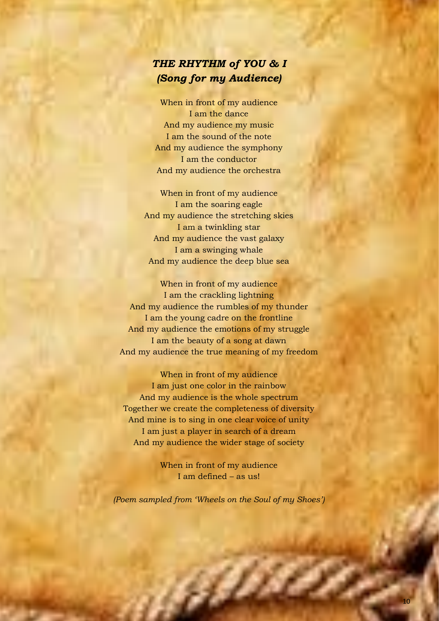# *THE RHYTHM of YOU & I (Song for my Audience)*

When in front of my audience I am the dance And my audience my music I am the sound of the note And my audience the symphony I am the conductor And my audience the orchestra

When in front of my audience I am the soaring eagle And my audience the stretching skies I am a twinkling star And my audience the vast galaxy I am a swinging whale And my audience the deep blue sea

When in front of my audience I am the crackling lightning And my audience the rumbles of my thunder I am the young cadre on the frontline And my audience the emotions of my struggle I am the beauty of a song at dawn And my audience the true meaning of my freedom

When in front of my audience I am just one color in the rainbow And my audience is the whole spectrum Together we create the completeness of diversity And mine is to sing in one clear voice of unity I am just a player in search of a dream And my audience the wider stage of society

> When in front of my audience I am defined – as us!

*(Poem sampled from 'Wheels on the Soul of my Shoes')* 

, and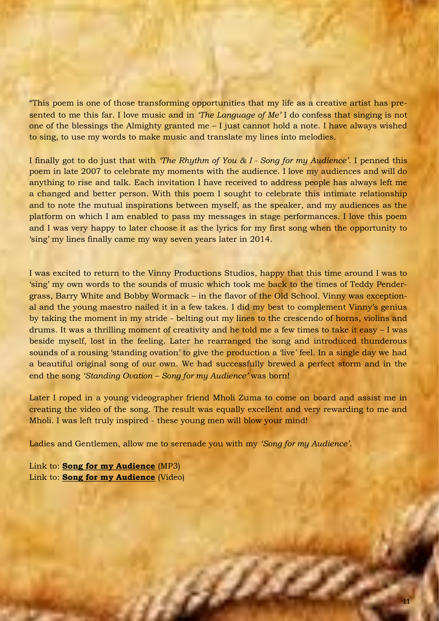"This poem is one of those transforming opportunities that my life as a creative artist has presented to me this far. I love music and in *'The Language of Me'* I do confess that singing is not one of the blessings the Almighty granted me – I just cannot hold a note. I have always wished to sing, to use my words to make music and translate my lines into melodies.

I finally got to do just that with *'The Rhythm of You & I - Song for my Audience'*. I penned this poem in late 2007 to celebrate my moments with the audience. I love my audiences and will do anything to rise and talk. Each invitation I have received to address people has always left me a changed and better person. With this poem I sought to celebrate this intimate relationship and to note the mutual inspirations between myself, as the speaker, and my audiences as the platform on which I am enabled to pass my messages in stage performances. I love this poem and I was very happy to later choose it as the lyrics for my first song when the opportunity to 'sing' my lines finally came my way seven years later in 2014.

I was excited to return to the Vinny Productions Studios, happy that this time around I was to 'sing' my own words to the sounds of music which took me back to the times of Teddy Pendergrass, Barry White and Bobby Wormack – in the flavor of the Old School. Vinny was exceptional and the young maestro nailed it in a few takes. I did my best to complement Vinny's genius by taking the moment in my stride - belting out my lines to the crescendo of horns, violins and drums. It was a thrilling moment of creativity and he told me a few times to take it easy – I was beside myself, lost in the feeling. Later he rearranged the song and introduced thunderous sounds of a rousing 'standing ovation' to give the production a 'live' feel. In a single day we had a beautiful original song of our own. We had successfully brewed a perfect storm and in the end the song *'Standing Ovation – Song for my Audience'* was born!

Later I roped in a young videographer friend Mholi Zuma to come on board and assist me in creating the video of the song. The result was equally excellent and very rewarding to me and Mholi. I was left truly inspired - these young men will blow your mind!

**SAM** 

Ladies and Gentlemen, allow me to serenade you with my *'Song for my Audience'*.

Link to: **[Song for my Audience](http://valhallaarts.co.za/Standing%20Ovation%20-%20Song%20for%20my%20Audience.mp3)** (MP3) Link to: **[Song for my Audience](http://valhallaarts.co.za/Utimate_S_O.mp4)** (Video)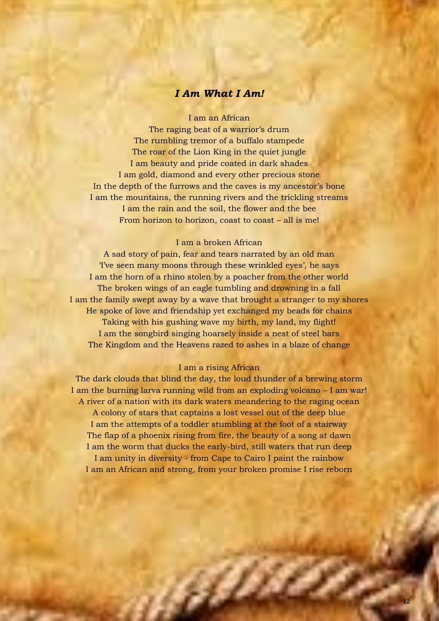### *I Am What I Am!*

I am an African

The raging beat of a warrior's drum The rumbling tremor of a buffalo stampede The roar of the Lion King in the quiet jungle I am beauty and pride coated in dark shades I am gold, diamond and every other precious stone In the depth of the furrows and the caves is my ancestor's bone I am the mountains, the running rivers and the trickling streams I am the rain and the soil, the flower and the bee From horizon to horizon, coast to coast – all is me!

#### I am a broken African

A sad story of pain, fear and tears narrated by an old man 'I've seen many moons through these wrinkled eyes', he says I am the horn of a rhino stolen by a poacher from the other world The broken wings of an eagle tumbling and drowning in a fall I am the family swept away by a wave that brought a stranger to my shores He spoke of love and friendship yet exchanged my beads for chains Taking with his gushing wave my birth, my land, my flight! I am the songbird singing hoarsely inside a nest of steel bars The Kingdom and the Heavens razed to ashes in a blaze of change

#### I am a rising African

The dark clouds that blind the day, the loud thunder of a brewing storm I am the burning larva running wild from an exploding volcano – I am war! A river of a nation with its dark waters meandering to the raging ocean A colony of stars that captains a lost vessel out of the deep blue I am the attempts of a toddler stumbling at the foot of a stairway The flap of a phoenix rising from fire, the beauty of a song at dawn I am the worm that ducks the early-bird, still waters that run deep I am unity in diversity - from Cape to Cairo I paint the rainbow I am an African and strong, from your broken promise I rise reborn

**SERVICE**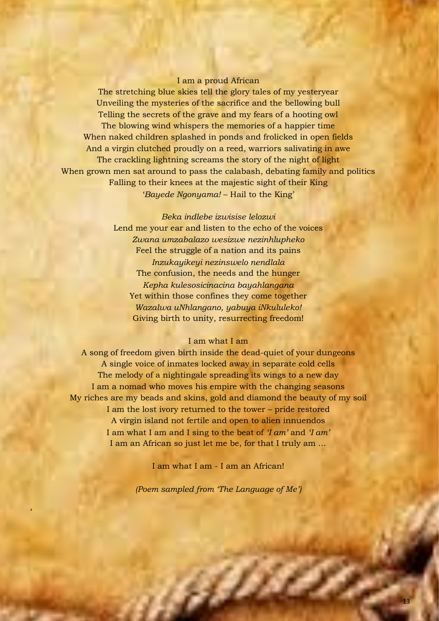#### I am a proud African

The stretching blue skies tell the glory tales of my yesteryear Unveiling the mysteries of the sacrifice and the bellowing bull Telling the secrets of the grave and my fears of a hooting owl The blowing wind whispers the memories of a happier time When naked children splashed in ponds and frolicked in open fields And a virgin clutched proudly on a reed, warriors salivating in awe The crackling lightning screams the story of the night of light When grown men sat around to pass the calabash, debating family and politics Falling to their knees at the majestic sight of their King '*Bayede Ngonyama!* – Hail to the King'

> *Beka indlebe izwisise lelozwi* Lend me your ear and listen to the echo of the voices *Zwana umzabalazo wesizwe nezinhlupheko* Feel the struggle of a nation and its pains *Inzukayikeyi nezinswelo nendlala* The confusion, the needs and the hunger *Kepha kulesosicinacina bayahlangana* Yet within those confines they come together *Wazalwa uNhlangano, yabuya iNkululeko!* Giving birth to unity, resurrecting freedom!

#### I am what I am

A song of freedom given birth inside the dead-quiet of your dungeons A single voice of inmates locked away in separate cold cells The melody of a nightingale spreading its wings to a new day I am a nomad who moves his empire with the changing seasons My riches are my beads and skins, gold and diamond the beauty of my soil I am the lost ivory returned to the tower – pride restored A virgin island not fertile and open to alien innuendos I am what I am and I sing to the beat of *'I am'* and *'I am'* I am an African so just let me be, for that I truly am …

I am what I am - I am an African!

*(Poem sampled from 'The Language of Me')*

*'*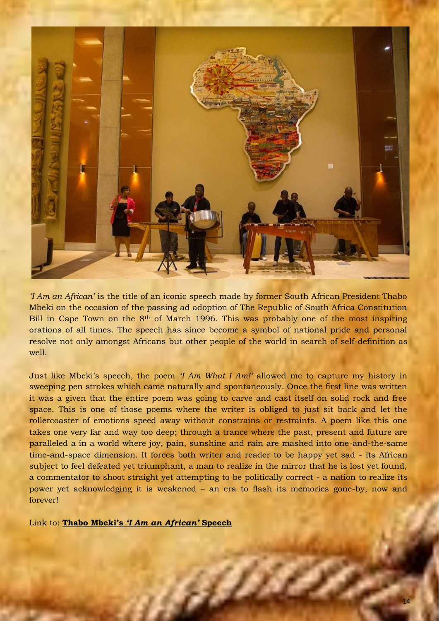

*'I Am an African'* is the title of an iconic speech made by former South African President Thabo Mbeki on the occasion of the passing ad adoption of The Republic of South Africa Constitution Bill in Cape Town on the  $8<sup>th</sup>$  of March 1996. This was probably one of the most inspiring orations of all times. The speech has since become a symbol of national pride and personal resolve not only amongst Africans but other people of the world in search of self-definition as well.

Just like Mbeki's speech, the poem *'I Am What I Am!'* allowed me to capture my history in sweeping pen strokes which came naturally and spontaneously. Once the first line was written it was a given that the entire poem was going to carve and cast itself on solid rock and free space. This is one of those poems where the writer is obliged to just sit back and let the rollercoaster of emotions speed away without constrains or restraints. A poem like this one takes one very far and way too deep; through a trance where the past, present and future are paralleled a in a world where joy, pain, sunshine and rain are mashed into one-and-the-same time-and-space dimension. It forces both writer and reader to be happy yet sad - its African subject to feel defeated yet triumphant, a man to realize in the mirror that he is lost yet found, a commentator to shoot straight yet attempting to be politically correct - a nation to realize its power yet acknowledging it is weakened – an era to flash its memories gone-by, now and forever!

ap

Link to: **Thabo Mbeki's** *['I Am an African'](http://valhallaarts.co.za/Thabo%20Mbeki_Iam%20an%20African.pdf)* **Speech**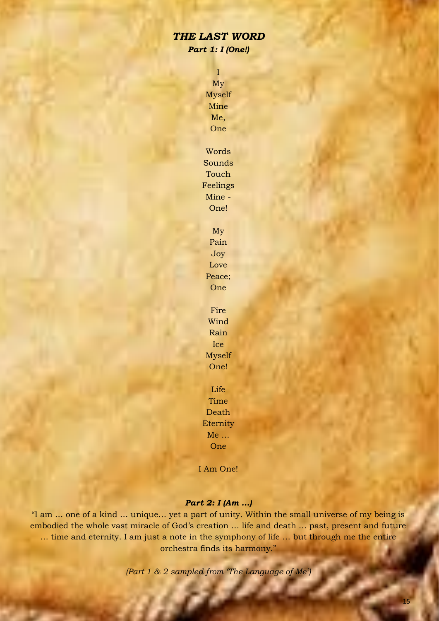### *THE LAST WORD Part 1: I (One!)*

I My Myself Mine Me, One Words

Sounds Touch Feelings Mine - One!

> My Pain Joy Love Peace; One

Fire Wind Rain Ice Myself One!

Life Time Death Eternity Me … **One** 

I Am One!

#### *Part 2: I (Am …)*

"I am … one of a kind … unique… yet a part of unity. Within the small universe of my being is embodied the whole vast miracle of God's creation … life and death … past, present and future … time and eternity. I am just a note in the symphony of life … but through me the entire orchestra finds its harmony."

*(Part 1 & 2 sampled from 'The Language of Me')*

85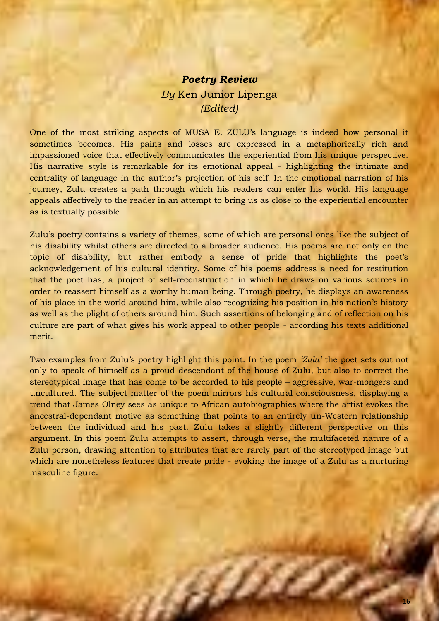# *Poetry Review By* Ken Junior Lipenga *(Edited)*

One of the most striking aspects of MUSA E. ZULU's language is indeed how personal it sometimes becomes. His pains and losses are expressed in a metaphorically rich and impassioned voice that effectively communicates the experiential from his unique perspective. His narrative style is remarkable for its emotional appeal - highlighting the intimate and centrality of language in the author's projection of his self. In the emotional narration of his journey, Zulu creates a path through which his readers can enter his world. His language appeals affectively to the reader in an attempt to bring us as close to the experiential encounter as is textually possible

Zulu's poetry contains a variety of themes, some of which are personal ones like the subject of his disability whilst others are directed to a broader audience. His poems are not only on the topic of disability, but rather embody a sense of pride that highlights the poet's acknowledgement of his cultural identity. Some of his poems address a need for restitution that the poet has, a project of self-reconstruction in which he draws on various sources in order to reassert himself as a worthy human being. Through poetry, he displays an awareness of his place in the world around him, while also recognizing his position in his nation's history as well as the plight of others around him. Such assertions of belonging and of reflection on his culture are part of what gives his work appeal to other people - according his texts additional merit.

Two examples from Zulu's poetry highlight this point. In the poem *'Zulu'* the poet sets out not only to speak of himself as a proud descendant of the house of Zulu, but also to correct the stereotypical image that has come to be accorded to his people – aggressive, war-mongers and uncultured. The subject matter of the poem mirrors his cultural consciousness, displaying a trend that James Olney sees as unique to African autobiographies where the artist evokes the ancestral-dependant motive as something that points to an entirely un-Western relationship between the individual and his past. Zulu takes a slightly different perspective on this argument. In this poem Zulu attempts to assert, through verse, the multifaceted nature of a Zulu person, drawing attention to attributes that are rarely part of the stereotyped image but which are nonetheless features that create pride - evoking the image of a Zulu as a nurturing masculine figure.

i Bir